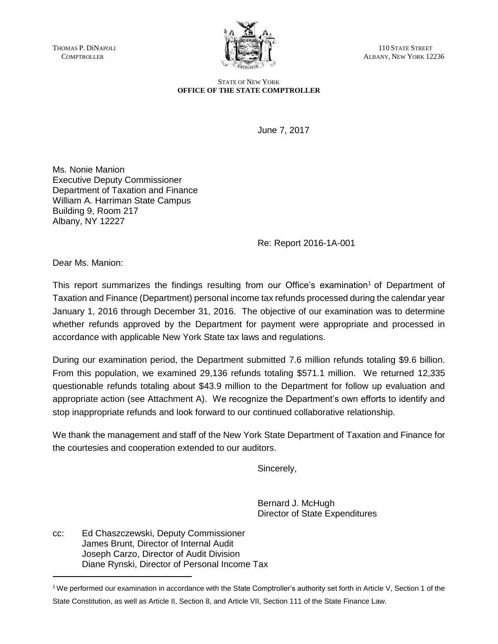

THOMAS P. DINAPOLI (NEWSTATE STREET ) (NEWSTATE STREET ) (NEWSTATE STREET ) (NEWSTATE STREET ) (NEWSTATE STREET ALBANY, NEW YORK 12236

> STATE OF NEW YORK **OFFICE OF THE STATE COMPTROLLER**

> > June 7, 2017

Ms. Nonie Manion Executive Deputy Commissioner Department of Taxation and Finance William A. Harriman State Campus Building 9, Room 217 Albany, NY 12227

Re: Report 2016-1A-001

Dear Ms. Manion:

This report summarizes the findings resulting from our Office's examination<sup>1</sup> of Department of Taxation and Finance (Department) personal income tax refunds processed during the calendar year January 1, 2016 through December 31, 2016. The objective of our examination was to determine whether refunds approved by the Department for payment were appropriate and processed in accordance with applicable New York State tax laws and regulations.

During our examination period, the Department submitted 7.6 million refunds totaling \$9.6 billion. From this population, we examined 29,136 refunds totaling \$571.1 million. We returned 12,335 questionable refunds totaling about \$43.9 million to the Department for follow up evaluation and appropriate action (see Attachment A). We recognize the Department's own efforts to identify and stop inappropriate refunds and look forward to our continued collaborative relationship.

We thank the management and staff of the New York State Department of Taxation and Finance for the courtesies and cooperation extended to our auditors.

Sincerely,

Bernard J. McHugh Director of State Expenditures

cc: Ed Chaszczewski, Deputy Commissioner James Brunt, Director of Internal Audit Joseph Carzo, Director of Audit Division Diane Rynski, Director of Personal Income Tax

<sup>1</sup>We performed our examination in accordance with the State Comptroller's authority set forth in Article V, Section 1 of the State Constitution, as well as Article II, Section 8, and Article VII, Section 111 of the State Finance Law.